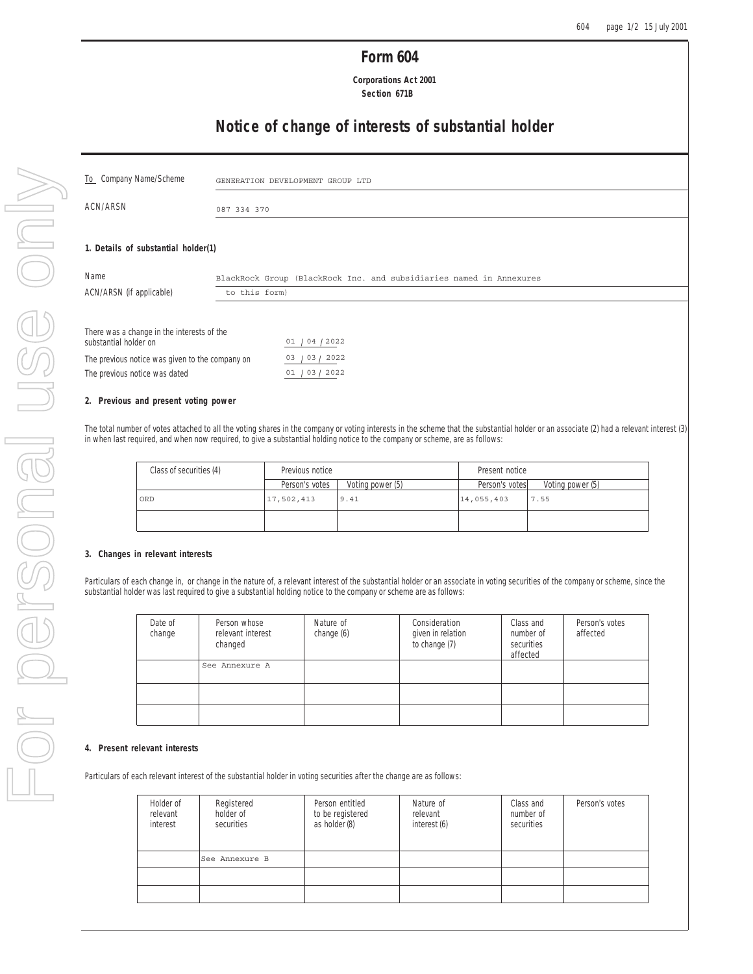# **Form 604**

 **Corporations Act 2001 Section 671B**

# **Notice of change of interests of substantial holder**

| To Company Name/Scheme                                              |               | GENERATION DEVELOPMENT GROUP LTD                                    |  |  |  |
|---------------------------------------------------------------------|---------------|---------------------------------------------------------------------|--|--|--|
| ACN/ARSN<br>087 334 370                                             |               |                                                                     |  |  |  |
|                                                                     |               |                                                                     |  |  |  |
| 1. Details of substantial holder(1)                                 |               |                                                                     |  |  |  |
| Name                                                                |               | BlackRock Group (BlackRock Inc. and subsidiaries named in Annexures |  |  |  |
| ACN/ARSN (if applicable)                                            | to this form) |                                                                     |  |  |  |
|                                                                     |               |                                                                     |  |  |  |
| There was a change in the interests of the<br>substantial holder on |               | 01 / 04 / 2022                                                      |  |  |  |
| The previous notice was given to the company on                     |               | 03/2022<br>03                                                       |  |  |  |
| The previous notice was dated                                       |               | 01 / 03 / 2022                                                      |  |  |  |

#### **2. Previous and present voting power**

The total number of votes attached to all the voting shares in the company or voting interests in the scheme that the substantial holder or an associate (2) had a relevant interest (3) in when last required, and when now required, to give a substantial holding notice to the company or scheme, are as follows:

| Class of securities (4) | Previous notice |                  | Present notice |                  |  |
|-------------------------|-----------------|------------------|----------------|------------------|--|
|                         | Person's votes  | Voting power (5) | Person's votes | Voting power (5) |  |
| ORD                     | 17,502,413      | 9.41             | 14,055,403     | 7.55             |  |
|                         |                 |                  |                |                  |  |

#### **3. Changes in relevant interests**

Particulars of each change in, or change in the nature of, a relevant interest of the substantial holder or an associate in voting securities of the company or scheme, since the substantial holder was last required to give a substantial holding notice to the company or scheme are as follows:

| Date of<br>change | Person whose<br>relevant interest<br>changed | Nature of<br>change (6) | Consideration<br>given in relation<br>to change (7) | Class and<br>number of<br>securities<br>affected | Person's votes<br>affected |
|-------------------|----------------------------------------------|-------------------------|-----------------------------------------------------|--------------------------------------------------|----------------------------|
|                   | See Annexure A                               |                         |                                                     |                                                  |                            |
|                   |                                              |                         |                                                     |                                                  |                            |
|                   |                                              |                         |                                                     |                                                  |                            |

#### **4. Present relevant interests**

Particulars of each relevant interest of the substantial holder in voting securities after the change are as follows:

| Holder of<br>relevant<br>interest | Registered<br>holder of<br>securities | Person entitled<br>to be registered<br>as holder (8) | Nature of<br>relevant<br>interest (6) | Class and<br>number of<br>securities | Person's votes |
|-----------------------------------|---------------------------------------|------------------------------------------------------|---------------------------------------|--------------------------------------|----------------|
|                                   | See Annexure B                        |                                                      |                                       |                                      |                |
|                                   |                                       |                                                      |                                       |                                      |                |
|                                   |                                       |                                                      |                                       |                                      |                |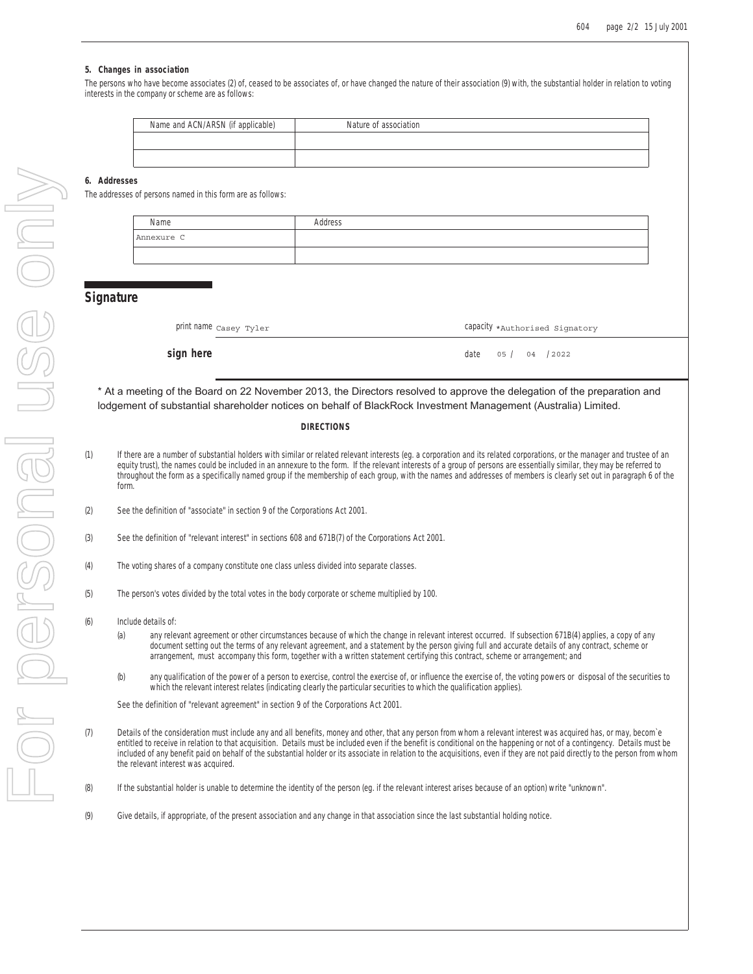#### **5. Changes in association**

The persons who have become associates (2) of, ceased to be associates of, or have changed the nature of their association (9) with, the substantial holder in relation to voting interests in the company or scheme are as follows:

| Name and ACN/ARSN (if applicable) | Nature of association |
|-----------------------------------|-----------------------|
|                                   |                       |
|                                   |                       |

#### **6. Addresses**

The addresses of persons named in this form are as follows:

| Name       | Address |
|------------|---------|
| Annexure C |         |
|            |         |

### **Signature**

| print name casey Tyler<br>Capacity *Authorised Signatory |
|----------------------------------------------------------|
|----------------------------------------------------------|

**sign here** date  $\frac{1}{2}$  or  $\frac{1}{2}$  date  $\frac{1}{2}$  date  $\frac{1}{2}$  or  $\frac{1}{2}$  date

## 04 / 2022

\* At a meeting of the Board on 22 November 2013, the Directors resolved to approve the delegation of the preparation and lodgement of substantial shareholder notices on behalf of BlackRock Investment Management (Australia) Limited.

#### **DIRECTIONS**

- (1) If there are a number of substantial holders with similar or related relevant interests (eg. a corporation and its related corporations, or the manager and trustee of an equity trust), the names could be included in an annexure to the form. If the relevant interests of a group of persons are essentially similar, they may be referred to throughout the form as a specifically named group if the membership of each group, with the names and addresses of members is clearly set out in paragraph 6 of the form.
- (2) See the definition of "associate" in section 9 of the Corporations Act 2001.
- (3) See the definition of "relevant interest" in sections 608 and 671B(7) of the Corporations Act 2001.
- (4) The voting shares of a company constitute one class unless divided into separate classes.
- (5) The person's votes divided by the total votes in the body corporate or scheme multiplied by 100.
- (6) Include details of:
	- (a) any relevant agreement or other circumstances because of which the change in relevant interest occurred. If subsection 671B(4) applies, a copy of any document setting out the terms of any relevant agreement, and a statement by the person giving full and accurate details of any contract, scheme or arrangement, must accompany this form, together with a written statement certifying this contract, scheme or arrangement; and
	- (b) any qualification of the power of a person to exercise, control the exercise of, or influence the exercise of, the voting powers or disposal of the securities to which the relevant interest relates (indicating clearly the particular securities to which the qualification applies).

See the definition of "relevant agreement" in section 9 of the Corporations Act 2001.

- (7) Details of the consideration must include any and all benefits, money and other, that any person from whom a relevant interest was acquired has, or may, becom`e entitled to receive in relation to that acquisition. Details must be included even if the benefit is conditional on the happening or not of a contingency. Details must be included of any benefit paid on behalf of the substantial holder or its associate in relation to the acquisitions, even if they are not paid directly to the person from whom the relevant interest was acquired.
- (8) If the substantial holder is unable to determine the identity of the person (eg. if the relevant interest arises because of an option) write "unknown".
- (9) Give details, if appropriate, of the present association and any change in that association since the last substantial holding notice.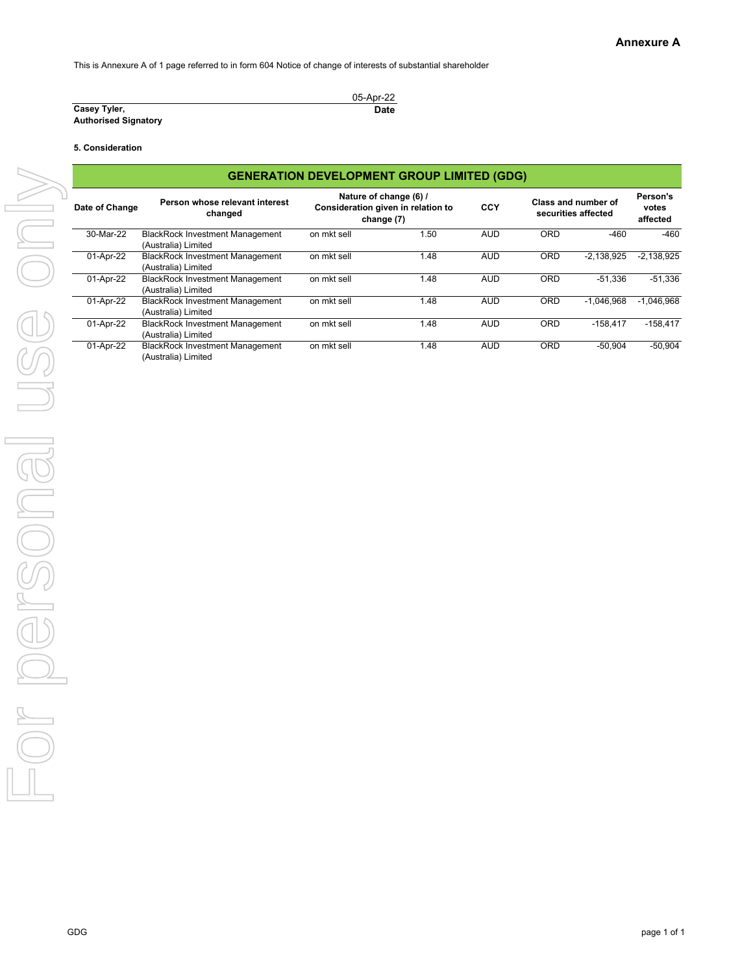This is Annexure A of 1 page referred to in form 604 Notice of change of interests of substantial shareholder

|                             | 05-Apr-22 |
|-----------------------------|-----------|
| Casey Tyler,                | Date      |
| <b>Authorised Signatory</b> |           |

#### **5. Consideration**

|                |                                                               | <b>GENERATION DEVELOPMENT GROUP LIMITED (GDG)</b> |                                                              |            |     |                                            |                               |
|----------------|---------------------------------------------------------------|---------------------------------------------------|--------------------------------------------------------------|------------|-----|--------------------------------------------|-------------------------------|
| Date of Change | Person whose relevant interest<br>changed                     | change (7)                                        | Nature of change (6) /<br>Consideration given in relation to | CCY        |     | Class and number of<br>securities affected | Person's<br>votes<br>affected |
| 30-Mar-22      | <b>BlackRock Investment Management</b><br>(Australia) Limited | on mkt sell                                       | 1.50                                                         | AUD        | ORD | $-460$                                     | $-460$                        |
| 01-Apr-22      | <b>BlackRock Investment Management</b><br>(Australia) Limited | on mkt sell                                       | 1.48                                                         | <b>AUD</b> | ORD | $-2,138,925$                               | $-2,138,925$                  |
| 01-Apr-22      | <b>BlackRock Investment Management</b><br>(Australia) Limited | on mkt sell                                       | 1.48                                                         | AUD        | ORD | $-51,336$                                  | $-51,336$                     |
| 01-Apr-22      | <b>BlackRock Investment Management</b><br>(Australia) Limited | on mkt sell                                       | 1.48                                                         | AUD        | ORD | $-1,046,968$                               | $-1,046,968$                  |
| 01-Apr-22      | <b>BlackRock Investment Management</b><br>(Australia) Limited | on mkt sell                                       | 1.48                                                         | <b>AUD</b> | ORD | $-158,417$                                 | $-158,417$                    |
| 01-Apr-22      | <b>BlackRock Investment Management</b><br>(Australia) Limited | on mkt sell                                       | 1.48                                                         | <b>AUD</b> | ORD | $-50,904$                                  | $-50,904$                     |
|                |                                                               |                                                   |                                                              |            |     |                                            |                               |
|                |                                                               |                                                   |                                                              |            |     |                                            |                               |
|                |                                                               |                                                   |                                                              |            |     |                                            |                               |
|                |                                                               |                                                   |                                                              |            |     |                                            |                               |
|                |                                                               |                                                   |                                                              |            |     |                                            |                               |
|                |                                                               |                                                   |                                                              |            |     |                                            |                               |
|                |                                                               |                                                   |                                                              |            |     |                                            |                               |
| GDG            |                                                               |                                                   |                                                              |            |     |                                            | page 1 of 1                   |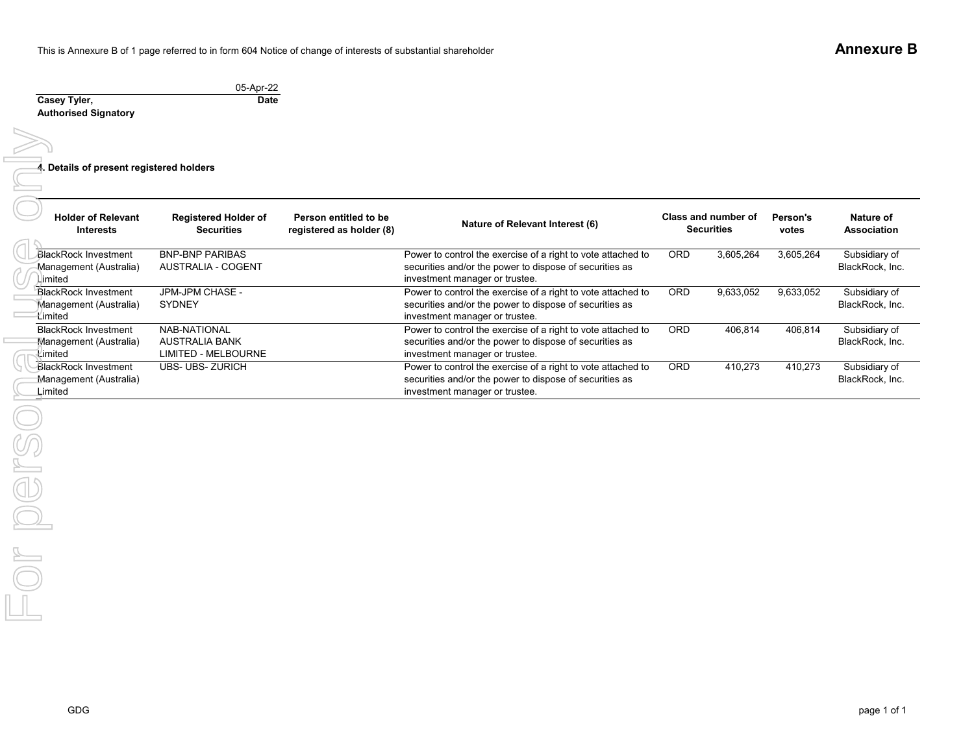05-Apr-22 **Casey Tyler, Authorised Signatory Date4. Details of present registered holders Holder of Relevant InterestsRegistered Holder of SecuritiesPerson entitled to be registered as holder (8) Nature of Relevant Interest (6) Person's votes Nature of Association** BlackRock Investment Management (Australia) LimitedBNP-BNP PARIBAS AUSTRALIA - COGENTPower to control the exercise of a right to vote attached to securities and/or the power to dispose of securities as investment manager or trustee. ORD 3,605,264 3,605,264 Subsidiary of BlackRock, Inc. BlackRock Investment Management (Australia)  $\overline{1}$  imited JPM-JPM CHASE - SYDNEY Power to control the exercise of a right to vote attached to securities and/or the power to dispose of securities as investment manager or trustee. ORD 9,633,052 9,633,052 Subsidiary of BlackRock, Inc. BlackRock Investment Management (Australia) LimitedNAB-NATIONAL AUSTRALIA BANK LIMITED - MELBOURNE Power to control the exercise of a right to vote attached to securities and/or the power to dispose of securities as investment manager or trustee. ORD 406,814 406,814 Subsidiary of BlackRock, Inc. BlackRock Investment Management (Australia) LimitedUBS- UBS- ZURICH **Power to control the exercise of a right to vote attached to** securities and/or the power to dispose of securities as investment manager or trustee. ORD 410,273 410,273 Subsidiary of BlackRock, Inc. **Class and number of Securities**